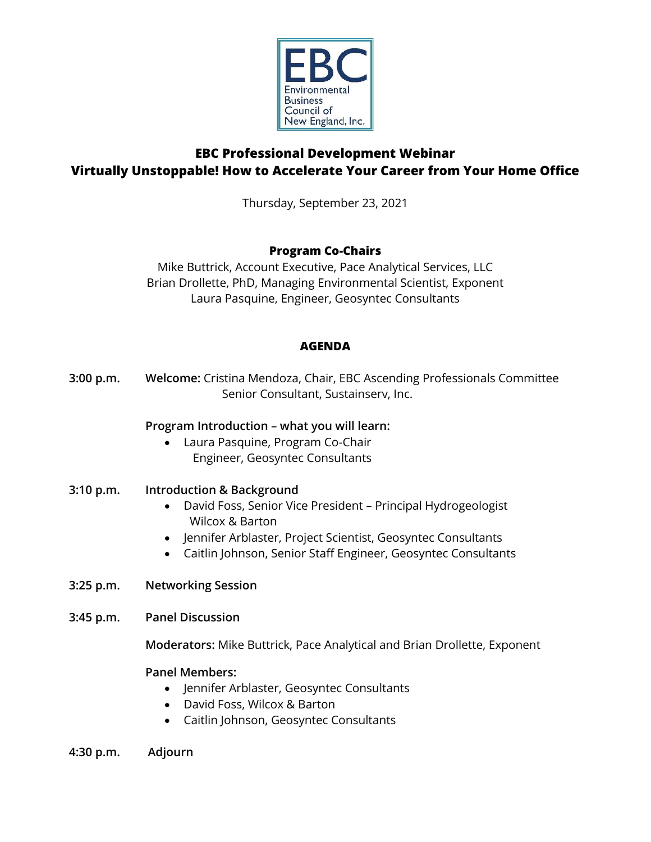

# **EBC Professional Development Webinar Virtually Unstoppable! How to Accelerate Your Career from Your Home Office**

Thursday, September 23, 2021

# **Program Co-Chairs**

Mike Buttrick, Account Executive, Pace Analytical Services, LLC Brian Drollette, PhD, Managing Environmental Scientist, Exponent Laura Pasquine, Engineer, Geosyntec Consultants

# **AGENDA**

**3:00 p.m. Welcome:** Cristina Mendoza, Chair, EBC Ascending Professionals Committee Senior Consultant, Sustainserv, Inc.

### **Program Introduction – what you will learn:**

• Laura Pasquine, Program Co-Chair Engineer, Geosyntec Consultants

### **3:10 p.m. Introduction & Background**

- David Foss, Senior Vice President Principal Hydrogeologist Wilcox & Barton
- Jennifer Arblaster, Project Scientist, Geosyntec Consultants
- Caitlin Johnson, Senior Staff Engineer, Geosyntec Consultants
- **3:25 p.m. Networking Session**
- **3:45 p.m. Panel Discussion**

**Moderators:** Mike Buttrick, Pace Analytical and Brian Drollette, Exponent

### **Panel Members:**

- Jennifer Arblaster, Geosyntec Consultants
- David Foss, Wilcox & Barton
- Caitlin Johnson, Geosyntec Consultants
- **4:30 p.m. Adjourn**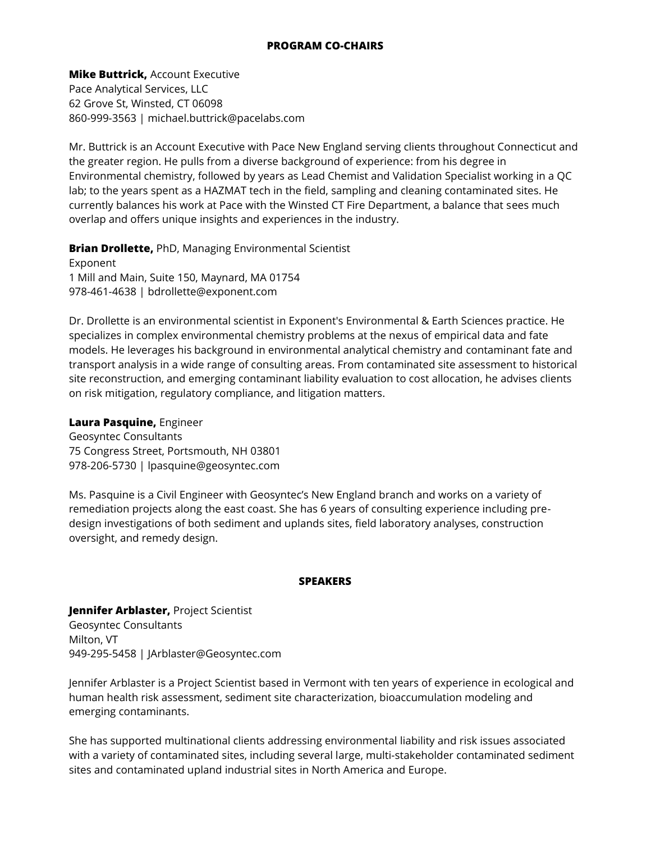**Mike Buttrick,** Account Executive Pace Analytical Services, LLC 62 Grove St, Winsted, CT 06098 860-999-3563 | michael.buttrick@pacelabs.com

Mr. Buttrick is an Account Executive with Pace New England serving clients throughout Connecticut and the greater region. He pulls from a diverse background of experience: from his degree in Environmental chemistry, followed by years as Lead Chemist and Validation Specialist working in a QC lab; to the years spent as a HAZMAT tech in the field, sampling and cleaning contaminated sites. He currently balances his work at Pace with the Winsted CT Fire Department, a balance that sees much overlap and offers unique insights and experiences in the industry.

**Brian Drollette,** PhD, Managing Environmental Scientist

Exponent 1 Mill and Main, Suite 150, Maynard, MA 01754 978-461-4638 | bdrollette@exponent.com

Dr. Drollette is an environmental scientist in Exponent's Environmental & Earth Sciences practice. He specializes in complex environmental chemistry problems at the nexus of empirical data and fate models. He leverages his background in environmental analytical chemistry and contaminant fate and transport analysis in a wide range of consulting areas. From contaminated site assessment to historical site reconstruction, and emerging contaminant liability evaluation to cost allocation, he advises clients on risk mitigation, regulatory compliance, and litigation matters.

**Laura Pasquine,** Engineer

Geosyntec Consultants 75 Congress Street, Portsmouth, NH 03801 978-206-5730 | lpasquine@geosyntec.com

Ms. Pasquine is a Civil Engineer with Geosyntec's New England branch and works on a variety of remediation projects along the east coast. She has 6 years of consulting experience including predesign investigations of both sediment and uplands sites, field laboratory analyses, construction oversight, and remedy design.

#### **SPEAKERS**

**Jennifer Arblaster,** Project Scientist Geosyntec Consultants Milton, VT 949-295-5458 | JArblaster@Geosyntec.com

Jennifer Arblaster is a Project Scientist based in Vermont with ten years of experience in ecological and human health risk assessment, sediment site characterization, bioaccumulation modeling and emerging contaminants.

She has supported multinational clients addressing environmental liability and risk issues associated with a variety of contaminated sites, including several large, multi-stakeholder contaminated sediment sites and contaminated upland industrial sites in North America and Europe.